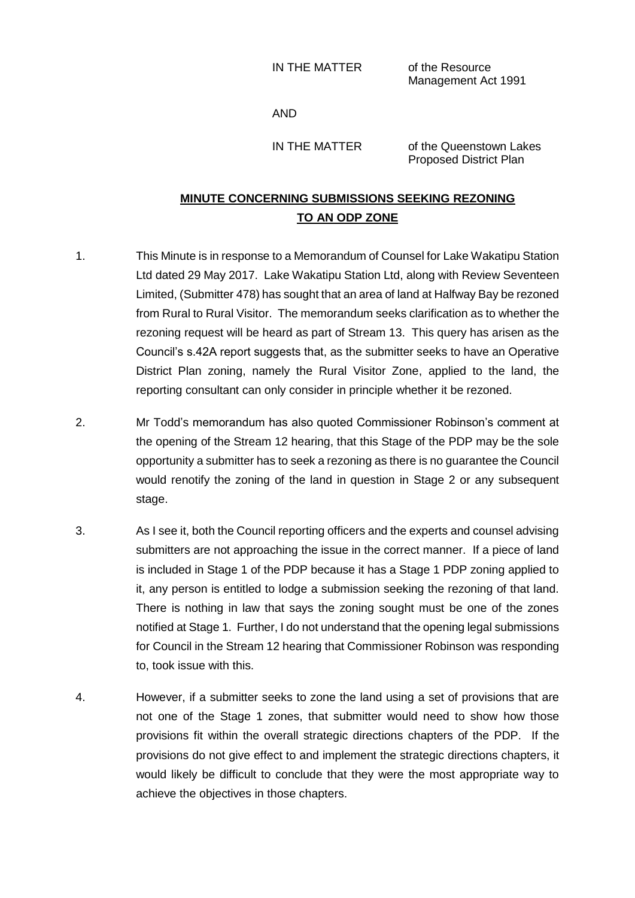## IN THE MATTER of the Resource

Management Act 1991

## AND

IN THE MATTER of the Queenstown Lakes Proposed District Plan

## **MINUTE CONCERNING SUBMISSIONS SEEKING REZONING TO AN ODP ZONE**

- 1. This Minute is in response to a Memorandum of Counsel for Lake Wakatipu Station Ltd dated 29 May 2017. Lake Wakatipu Station Ltd, along with Review Seventeen Limited, (Submitter 478) has sought that an area of land at Halfway Bay be rezoned from Rural to Rural Visitor. The memorandum seeks clarification as to whether the rezoning request will be heard as part of Stream 13. This query has arisen as the Council's s.42A report suggests that, as the submitter seeks to have an Operative District Plan zoning, namely the Rural Visitor Zone, applied to the land, the reporting consultant can only consider in principle whether it be rezoned.
- 2. Mr Todd's memorandum has also quoted Commissioner Robinson's comment at the opening of the Stream 12 hearing, that this Stage of the PDP may be the sole opportunity a submitter has to seek a rezoning as there is no guarantee the Council would renotify the zoning of the land in question in Stage 2 or any subsequent stage.
- 3. As I see it, both the Council reporting officers and the experts and counsel advising submitters are not approaching the issue in the correct manner. If a piece of land is included in Stage 1 of the PDP because it has a Stage 1 PDP zoning applied to it, any person is entitled to lodge a submission seeking the rezoning of that land. There is nothing in law that says the zoning sought must be one of the zones notified at Stage 1. Further, I do not understand that the opening legal submissions for Council in the Stream 12 hearing that Commissioner Robinson was responding to, took issue with this.
- 4. However, if a submitter seeks to zone the land using a set of provisions that are not one of the Stage 1 zones, that submitter would need to show how those provisions fit within the overall strategic directions chapters of the PDP. If the provisions do not give effect to and implement the strategic directions chapters, it would likely be difficult to conclude that they were the most appropriate way to achieve the objectives in those chapters.